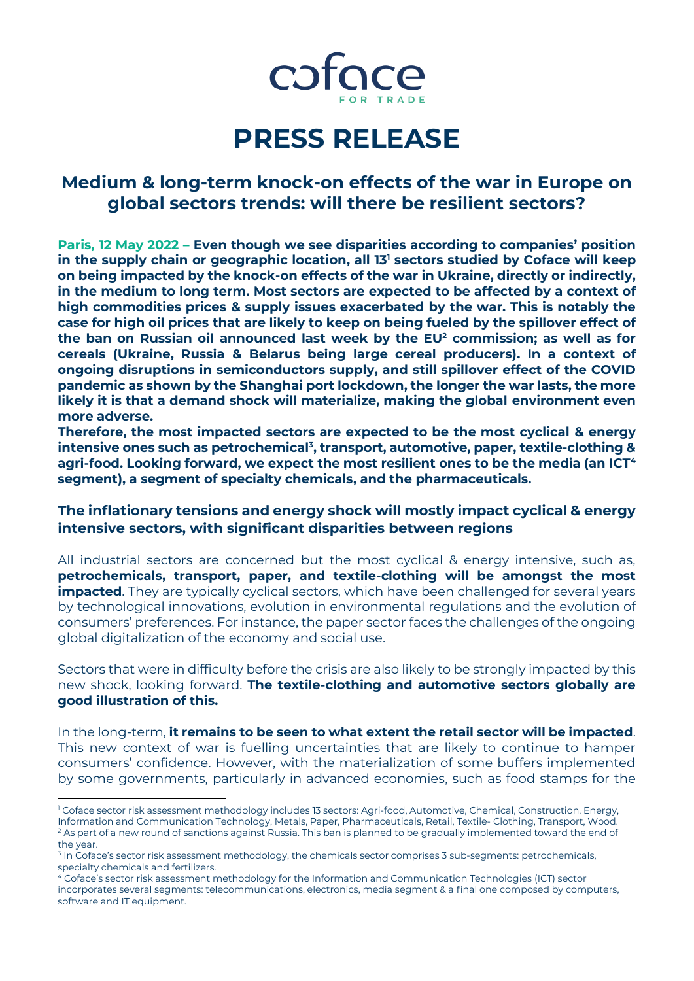

# **PRESS RELEASE**

# **Medium & long-term knock-on effects of the war in Europe on global sectors trends: will there be resilient sectors?**

**Paris, 12 May 2022 – Even though we see disparities according to companies' position in the supply chain or geographic location, all 13<sup>1</sup> sectors studied by Coface will keep on being impacted by the knock-on effects of the war in Ukraine, directly or indirectly, in the medium to long term. Most sectors are expected to be affected by a context of high commodities prices & supply issues exacerbated by the war. This is notably the case for high oil prices that are likely to keep on being fueled by the spillover effect of the ban on Russian oil announced last week by the EU<sup>2</sup> commission; as well as for cereals (Ukraine, Russia & Belarus being large cereal producers). In a context of ongoing disruptions in semiconductors supply, and still spillover effect of the COVID pandemic as shown by the Shanghai port lockdown, the longer the war lasts, the more likely it is that a demand shock will materialize, making the global environment even more adverse.**

**Therefore, the most impacted sectors are expected to be the most cyclical & energy intensive ones such as petrochemical<sup>3</sup> , transport, automotive, paper, textile-clothing & agri-food. Looking forward, we expect the most resilient ones to be the media (an ICT<sup>4</sup> segment), a segment of specialty chemicals, and the pharmaceuticals.**

**The inflationary tensions and energy shock will mostly impact cyclical & energy intensive sectors, with significant disparities between regions**

All industrial sectors are concerned but the most cyclical & energy intensive, such as, **petrochemicals, transport, paper, and textile-clothing will be amongst the most impacted**. They are typically cyclical sectors, which have been challenged for several years by technological innovations, evolution in environmental regulations and the evolution of consumers' preferences. For instance, the paper sector faces the challenges of the ongoing global digitalization of the economy and social use.

Sectors that were in difficulty before the crisis are also likely to be strongly impacted by this new shock, looking forward. **The textile-clothing and automotive sectors globally are good illustration of this.** 

In the long-term, **it remains to be seen to what extent the retail sector will be impacted**. This new context of war is fuelling uncertainties that are likely to continue to hamper consumers' confidence. However, with the materialization of some buffers implemented by some governments, particularly in advanced economies, such as food stamps for the

 $\overline{a}$ 

<sup>&</sup>lt;sup>1</sup> Coface sector risk assessment methodology includes 13 sectors: Agri-food, Automotive, Chemical, Construction, Energy, Information and Communication Technology, Metals, Paper, Pharmaceuticals, Retail, Textile- Clothing, Transport, Wood.  $2$  As part of a new round of sanctions against Russia. This ban is planned to be gradually implemented toward the end of the year.

<sup>&</sup>lt;sup>3</sup> In Coface's sector risk assessment methodology, the chemicals sector comprises 3 sub-segments: petrochemicals, specialty chemicals and fertilizers.

<sup>4</sup> Coface's sector risk assessment methodology for the Information and Communication Technologies (ICT) sector incorporates several segments: telecommunications, electronics, media segment & a final one composed by computers, software and IT equipment.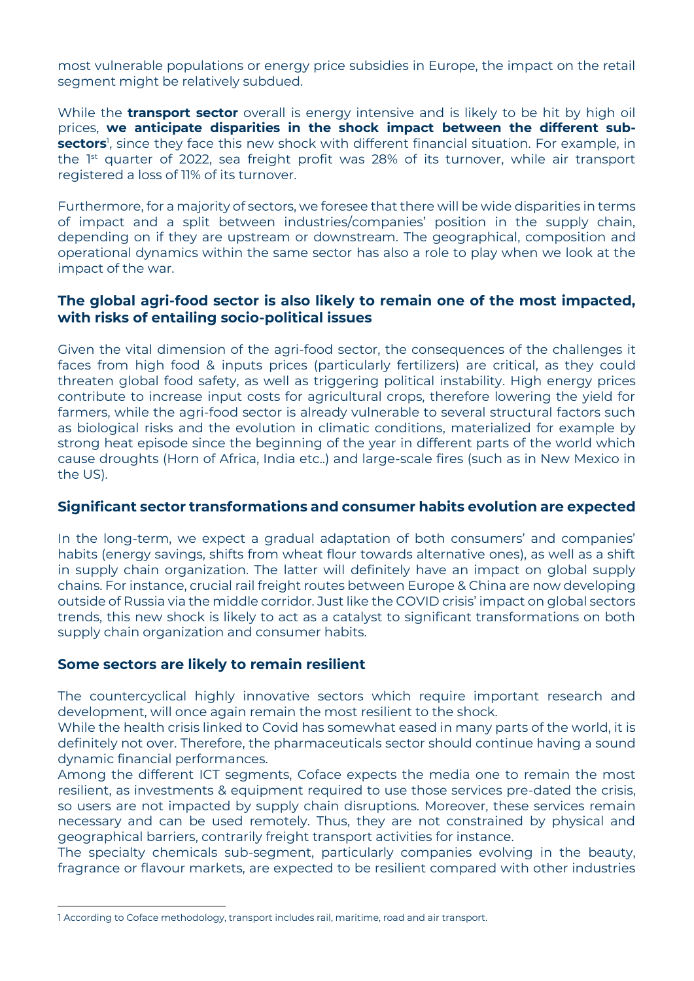most vulnerable populations or energy price subsidies in Europe, the impact on the retail segment might be relatively subdued.

While the **transport sector** overall is energy intensive and is likely to be hit by high oil prices, **we anticipate disparities in the shock impact between the different subsectors**<sup>1</sup> , since they face this new shock with different financial situation. For example, in the  $1<sup>st</sup>$  quarter of 2022, sea freight profit was 28% of its turnover, while air transport registered a loss of 11% of its turnover.

Furthermore, for a majority of sectors, we foresee that there will be wide disparities in terms of impact and a split between industries/companies' position in the supply chain, depending on if they are upstream or downstream. The geographical, composition and operational dynamics within the same sector has also a role to play when we look at the impact of the war.

## **The global agri-food sector is also likely to remain one of the most impacted, with risks of entailing socio-political issues**

Given the vital dimension of the agri-food sector, the consequences of the challenges it faces from high food & inputs prices (particularly fertilizers) are critical, as they could threaten global food safety, as well as triggering political instability. High energy prices contribute to increase input costs for agricultural crops, therefore lowering the yield for farmers, while the agri-food sector is already vulnerable to several structural factors such as biological risks and the evolution in climatic conditions, materialized for example by strong heat episode since the beginning of the year in different parts of the world which cause droughts (Horn of Africa, India etc..) and large-scale fires (such as in New Mexico in the US).

## **Significant sector transformations and consumer habits evolution are expected**

In the long-term, we expect a gradual adaptation of both consumers' and companies' habits (energy savings, shifts from wheat flour towards alternative ones), as well as a shift in supply chain organization. The latter will definitely have an impact on global supply chains. For instance, crucial rail freight routes between Europe & China are now developing outside of Russia via the middle corridor. Just like the COVID crisis' impact on global sectors trends, this new shock is likely to act as a catalyst to significant transformations on both supply chain organization and consumer habits.

# **Some sectors are likely to remain resilient**

The countercyclical highly innovative sectors which require important research and development, will once again remain the most resilient to the shock.

While the health crisis linked to Covid has somewhat eased in many parts of the world, it is definitely not over. Therefore, the pharmaceuticals sector should continue having a sound dynamic financial performances.

Among the different ICT segments, Coface expects the media one to remain the most resilient, as investments & equipment required to use those services pre-dated the crisis, so users are not impacted by supply chain disruptions. Moreover, these services remain necessary and can be used remotely. Thus, they are not constrained by physical and geographical barriers, contrarily freight transport activities for instance.

The specialty chemicals sub-segment, particularly companies evolving in the beauty, fragrance or flavour markets, are expected to be resilient compared with other industries

 $\overline{a}$ 1 According to Coface methodology, transport includes rail, maritime, road and air transport.